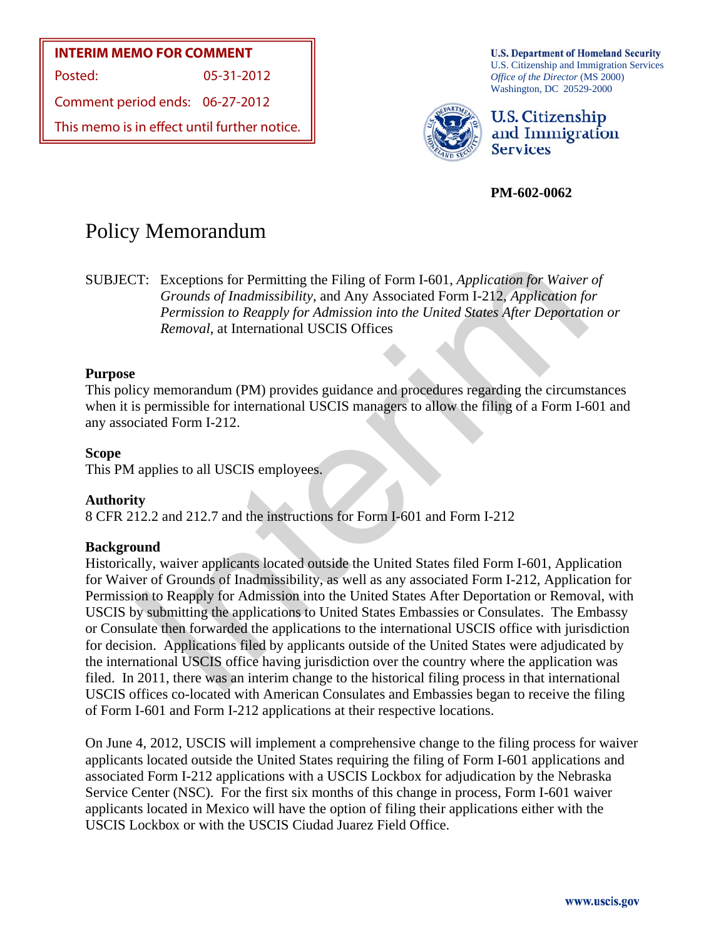## **INTERIM MEMO FOR COMMENT**

Posted: 05-31-2012

Comment period ends: 06-27-2012

This memo is in effect until further notice.

**U.S. Department of Homeland Security** U.S. Citizenship and Immigration Services *Office of the Director* (MS 2000) Washington, DC 20529-2000



U.S. Citizenship and Immigration **Services** 

**PM-602-0062** 

# Policy Memorandum

SUBJECT: Exceptions for Permitting the Filing of Form I-601, *Application for Waiver of Grounds of Inadmissibility*, and Any Associated Form I-212, *Application for Permission to Reapply for Admission into the United States After Deportation or Removal*, at International USCIS Offices

## **Purpose**

This policy memorandum (PM) provides guidance and procedures regarding the circumstances when it is permissible for international USCIS managers to allow the filing of a Form I-601 and any associated Form I-212.

#### **Scope**

This PM applies to all USCIS employees.

#### **Authority**

8 CFR 212.2 and 212.7 and the instructions for Form I-601 and Form I-212

#### **Background**

T: Exceptions for Permitting the Filing of Form I-601, *Application for Waiver*<br> *Grounds of Inadmissibility*, and Any Associated Form I-212, *Application for*<br> *Permission to Reapply for Admission into the United States* Historically, waiver applicants located outside the United States filed Form I-601, Application for Waiver of Grounds of Inadmissibility, as well as any associated Form I-212, Application for Permission to Reapply for Admission into the United States After Deportation or Removal, with USCIS by submitting the applications to United States Embassies or Consulates. The Embassy or Consulate then forwarded the applications to the international USCIS office with jurisdiction for decision. Applications filed by applicants outside of the United States were adjudicated by the international USCIS office having jurisdiction over the country where the application was filed. In 2011, there was an interim change to the historical filing process in that international USCIS offices co-located with American Consulates and Embassies began to receive the filing of Form I-601 and Form I-212 applications at their respective locations.

On June 4, 2012, USCIS will implement a comprehensive change to the filing process for waiver applicants located outside the United States requiring the filing of Form I-601 applications and associated Form I-212 applications with a USCIS Lockbox for adjudication by the Nebraska Service Center (NSC). For the first six months of this change in process, Form I-601 waiver applicants located in Mexico will have the option of filing their applications either with the USCIS Lockbox or with the USCIS Ciudad Juarez Field Office.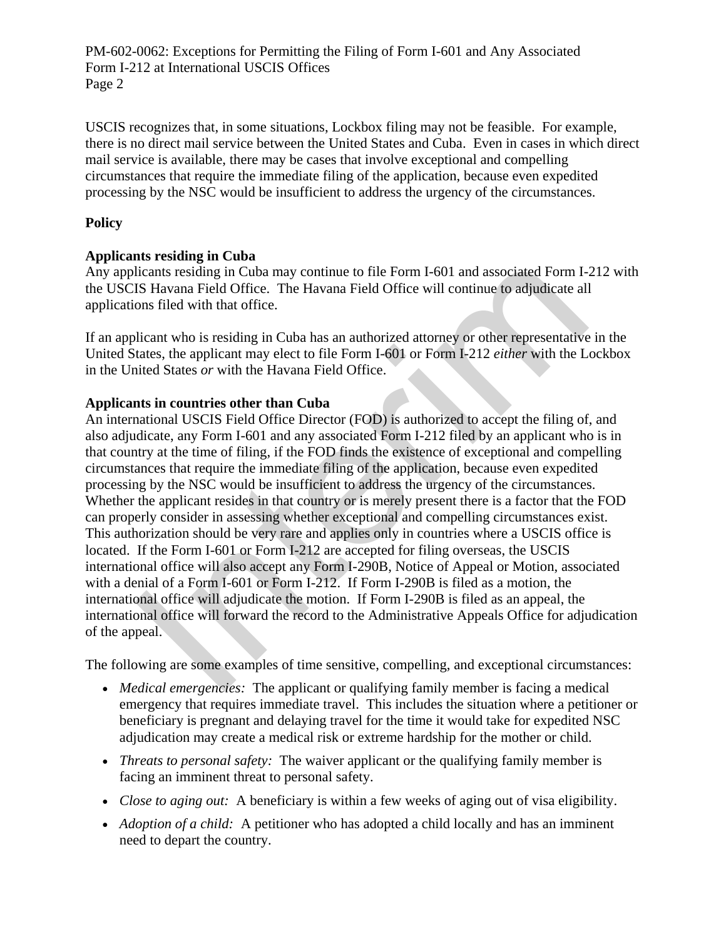PM-602-0062: Exceptions for Permitting the Filing of Form I-601 and Any Associated Form I-212 at International USCIS Offices Page 2

USCIS recognizes that, in some situations, Lockbox filing may not be feasible. For example, there is no direct mail service between the United States and Cuba. Even in cases in which direct mail service is available, there may be cases that involve exceptional and compelling circumstances that require the immediate filing of the application, because even expedited processing by the NSC would be insufficient to address the urgency of the circumstances.

## **Policy**

# **Applicants residing in Cuba**

Any applicants residing in Cuba may continue to file Form I-601 and associated Form I-212 with the USCIS Havana Field Office. The Havana Field Office will continue to adjudicate all applications filed with that office.

If an applicant who is residing in Cuba has an authorized attorney or other representative in the United States, the applicant may elect to file Form I-601 or Form I-212 *either* with the Lockbox in the United States *or* with the Havana Field Office.

# **Applicants in countries other than Cuba**

licants residing in Cuba may continue to file Form I-601 and associated Form I-BIS Havana Field Office. The Havana Field Office will continue to adjudicate all<br>ons filed with that office. The Havana Field Office will cont An international USCIS Field Office Director (FOD) is authorized to accept the filing of, and also adjudicate, any Form I-601 and any associated Form I-212 filed by an applicant who is in that country at the time of filing, if the FOD finds the existence of exceptional and compelling circumstances that require the immediate filing of the application, because even expedited processing by the NSC would be insufficient to address the urgency of the circumstances. Whether the applicant resides in that country or is merely present there is a factor that the FOD can properly consider in assessing whether exceptional and compelling circumstances exist. This authorization should be very rare and applies only in countries where a USCIS office is located. If the Form I-601 or Form I-212 are accepted for filing overseas, the USCIS international office will also accept any Form I-290B, Notice of Appeal or Motion, associated with a denial of a Form I-601 or Form I-212. If Form I-290B is filed as a motion, the international office will adjudicate the motion. If Form I-290B is filed as an appeal, the international office will forward the record to the Administrative Appeals Office for adjudication of the appeal.

The following are some examples of time sensitive, compelling, and exceptional circumstances:

- *Medical emergencies:* The applicant or qualifying family member is facing a medical emergency that requires immediate travel. This includes the situation where a petitioner or beneficiary is pregnant and delaying travel for the time it would take for expedited NSC adjudication may create a medical risk or extreme hardship for the mother or child.
- *Threats to personal safety:* The waiver applicant or the qualifying family member is facing an imminent threat to personal safety.
- *Close to aging out:* A beneficiary is within a few weeks of aging out of visa eligibility.
- *Adoption of a child:* A petitioner who has adopted a child locally and has an imminent need to depart the country.